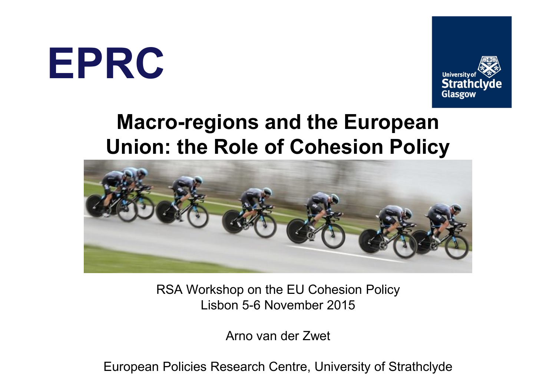**EPRC**



### **Macro-regions and the European Union: the Role of Cohesion Policy**



RSA Workshop on the EU Cohesion Policy Lisbon 5-6 November 2015

Arno van der Zwet

European Policies Research Centre, University of Strathclyde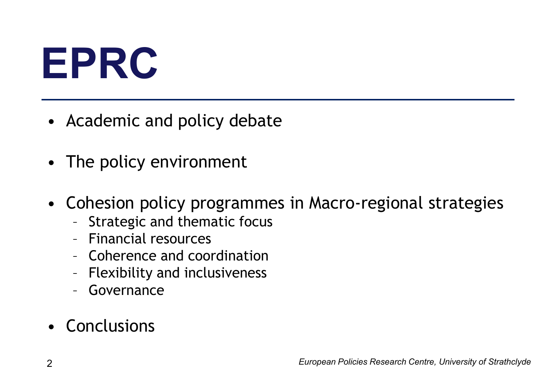# **EPRC**

- Academic and policy debate
- The policy environment
- Cohesion policy programmes in Macro-regional strategies
	- Strategic and thematic focus
	- Financial resources
	- Coherence and coordination
	- Flexibility and inclusiveness
	- Governance

### • Conclusions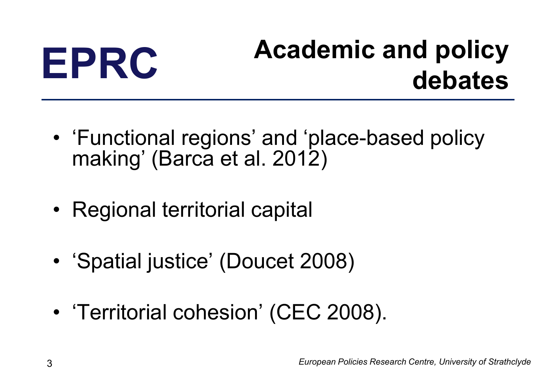### **EPRC Academic and policy debates**

- 'Functional regions' and 'place-based policy making' (Barca et al. 2012)
- Regional territorial capital
- 'Spatial justice' (Doucet 2008)
- 'Territorial cohesion' (CEC 2008).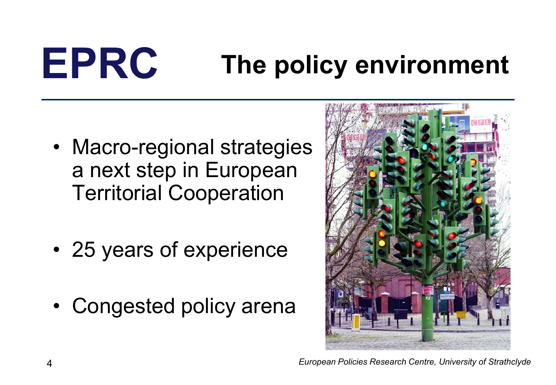# **EPRC The policy environment**

- Macro-regional strategies a next step in European Territorial Cooperation
- 25 years of experience
- Congested policy arena

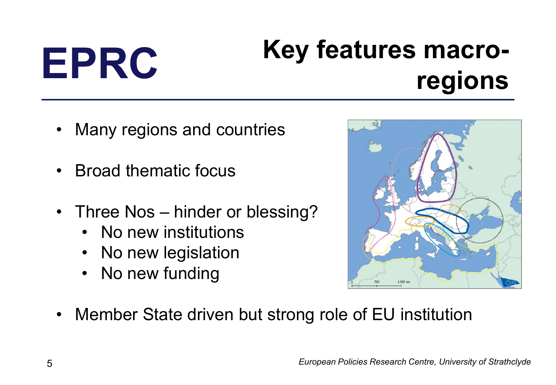## **EPRC Key features macroregions**

- Many regions and countries
- Broad thematic focus
- Three Nos hinder or blessing?
	- No new institutions
	- No new legislation
	- No new funding



• Member State driven but strong role of EU institution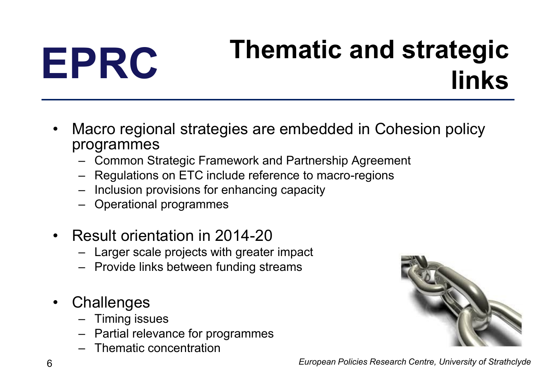## **EPRC Thematic and strategic links**

- Macro regional strategies are embedded in Cohesion policy programmes
	- Common Strategic Framework and Partnership Agreement
	- Regulations on ETC include reference to macro-regions
	- Inclusion provisions for enhancing capacity
	- Operational programmes
- Result orientation in 2014-20
	- Larger scale projects with greater impact
	- Provide links between funding streams
- Challenges
	- Timing issues
	- Partial relevance for programmes
	- Thematic concentration



6 *European Policies Research Centre, University of Strathclyde*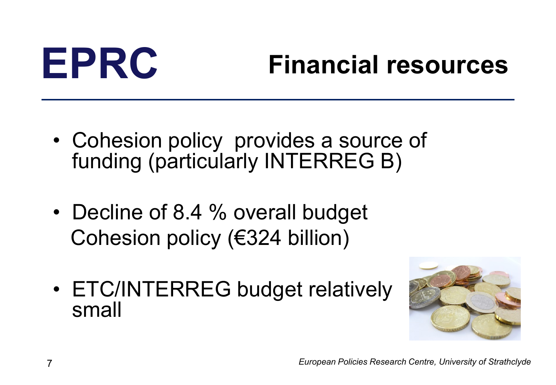## **EPRC Financial resources**

- Cohesion policy provides a source of funding (particularly INTERREG B)
- Decline of 8.4 % overall budget Cohesion policy (€324 billion)
- ETC/INTERREG budget relatively small

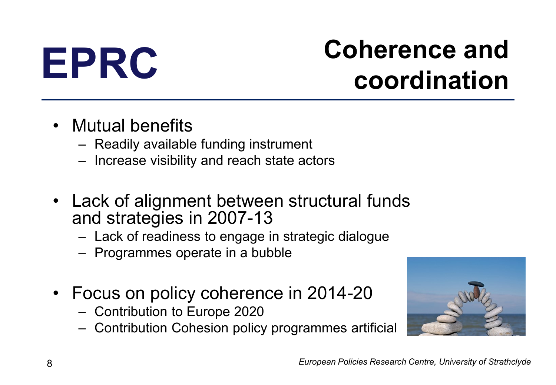### **EPRC Coherence and coordination**

- Mutual benefits
	- Readily available funding instrument
	- Increase visibility and reach state actors
- Lack of alignment between structural funds and strategies in 2007-13
	- Lack of readiness to engage in strategic dialogue
	- Programmes operate in a bubble
- Focus on policy coherence in 2014-20
	- Contribution to Europe 2020
	- Contribution Cohesion policy programmes artificial

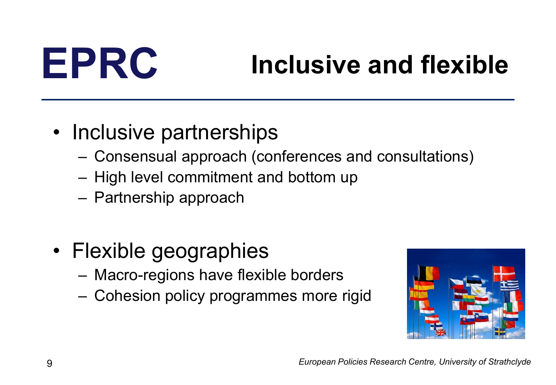## **EPRC Inclusive and flexible**

### • Inclusive partnerships

- Consensual approach (conferences and consultations)
- High level commitment and bottom up
- Partnership approach
- Flexible geographies
	- Macro-regions have flexible borders
	- Cohesion policy programmes more rigid

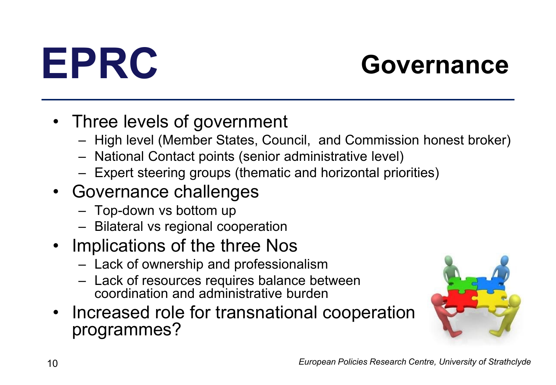

## **EPRC Governance**

- Three levels of government
	- High level (Member States, Council, and Commission honest broker)
	- National Contact points (senior administrative level)
	- Expert steering groups (thematic and horizontal priorities)
- Governance challenges
	- Top-down vs bottom up
	- Bilateral vs regional cooperation
- Implications of the three Nos
	- Lack of ownership and professionalism
	- Lack of resources requires balance between coordination and administrative burden
- Increased role for transnational cooperation programmes?

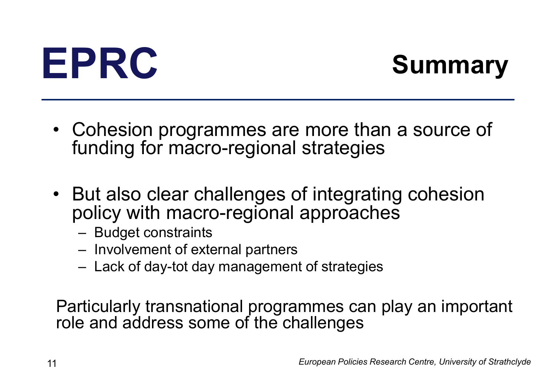# **EPRC Summary**

- Cohesion programmes are more than a source of funding for macro-regional strategies
- But also clear challenges of integrating cohesion policy with macro-regional approaches
	- Budget constraints
	- Involvement of external partners
	- Lack of day-tot day management of strategies

Particularly transnational programmes can play an important role and address some of the challenges